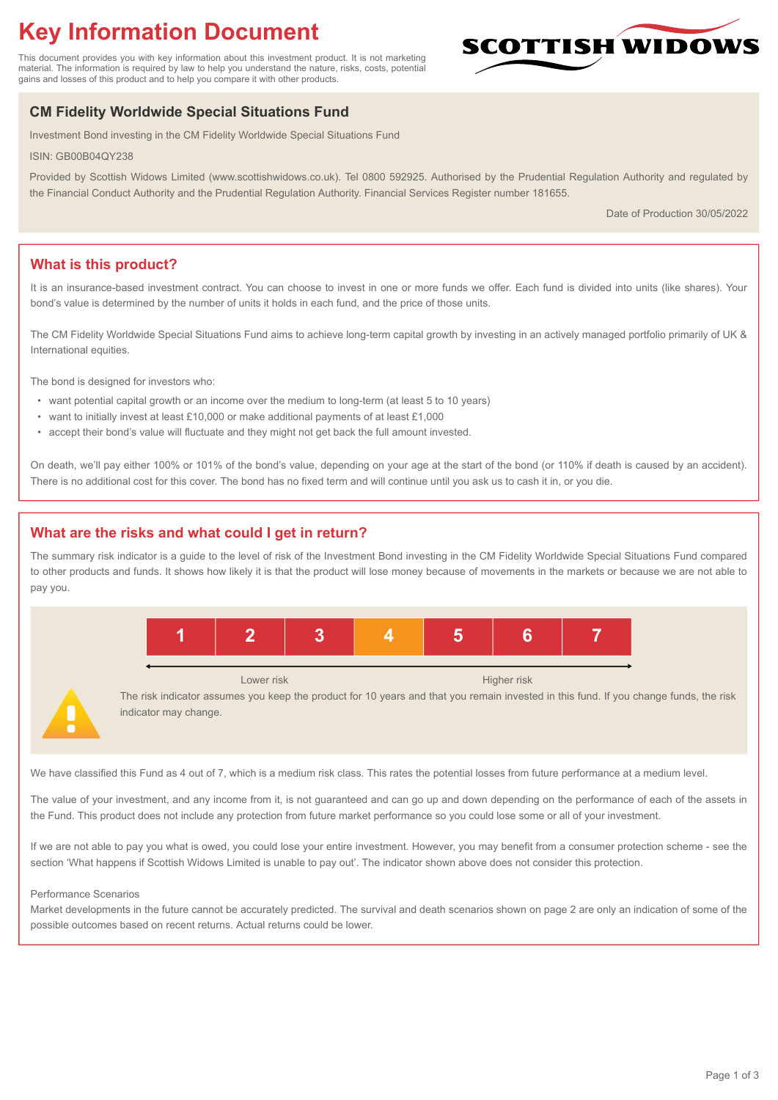# **Key Information Document**

This document provides you with key information about this investment product. It is not marketing material. The information is required by law to help you understand the nature, risks, costs, potential gains and losses of this product and to help you compare it with other products.

## **CM Fidelity Worldwide Special Situations Fund**

Investment Bond investing in the CM Fidelity Worldwide Special Situations Fund

ISIN: GB00B04QY238

Provided by Scottish Widows Limited (www.scottishwidows.co.uk). Tel 0800 592925. Authorised by the Prudential Regulation Authority and regulated by the Financial Conduct Authority and the Prudential Regulation Authority. Financial Services Register number 181655.

Date of Production 30/05/2022

**SCOTTISH WIDOW** 

## **What is this product?**

It is an insurance-based investment contract. You can choose to invest in one or more funds we offer. Each fund is divided into units (like shares). Your bond's value is determined by the number of units it holds in each fund, and the price of those units.

The CM Fidelity Worldwide Special Situations Fund aims to achieve long-term capital growth by investing in an actively managed portfolio primarily of UK & International equities.

The bond is designed for investors who:

- want potential capital growth or an income over the medium to long-term (at least 5 to 10 years)
- want to initially invest at least £10,000 or make additional payments of at least £1,000
- accept their bond's value will fluctuate and they might not get back the full amount invested.

On death, we'll pay either 100% or 101% of the bond's value, depending on your age at the start of the bond (or 110% if death is caused by an accident). There is no additional cost for this cover. The bond has no fixed term and will continue until you ask us to cash it in, or you die.

## **What are the risks and what could I get in return?**

The summary risk indicator is a guide to the level of risk of the Investment Bond investing in the CM Fidelity Worldwide Special Situations Fund compared to other products and funds. It shows how likely it is that the product will lose money because of movements in the markets or because we are not able to pay you.



The risk indicator assumes you keep the product for 10 years and that you remain invested in this fund. If you change funds, the risk indicator may change.

We have classified this Fund as 4 out of 7, which is a medium risk class. This rates the potential losses from future performance at a medium level.

The value of your investment, and any income from it, is not guaranteed and can go up and down depending on the performance of each of the assets in the Fund. This product does not include any protection from future market performance so you could lose some or all of your investment.

If we are not able to pay you what is owed, you could lose your entire investment. However, you may benefit from a consumer protection scheme - see the section 'What happens if Scottish Widows Limited is unable to pay out'. The indicator shown above does not consider this protection.

#### Performance Scenarios

Market developments in the future cannot be accurately predicted. The survival and death scenarios shown on page 2 are only an indication of some of the possible outcomes based on recent returns. Actual returns could be lower.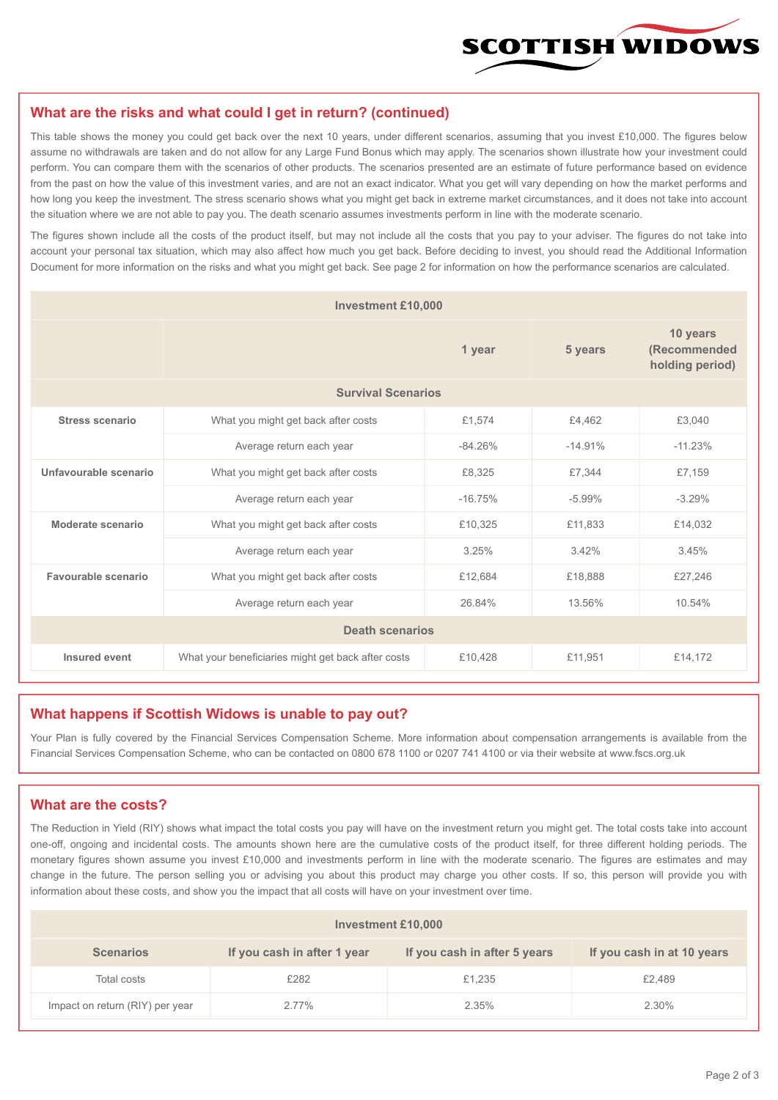

#### **What are the risks and what could I get in return? (continued)**

This table shows the money you could get back over the next 10 years, under different scenarios, assuming that you invest £10,000. The figures below assume no withdrawals are taken and do not allow for any Large Fund Bonus which may apply. The scenarios shown illustrate how your investment could perform. You can compare them with the scenarios of other products. The scenarios presented are an estimate of future performance based on evidence from the past on how the value of this investment varies, and are not an exact indicator. What you get will vary depending on how the market performs and how long you keep the investment. The stress scenario shows what you might get back in extreme market circumstances, and it does not take into account the situation where we are not able to pay you. The death scenario assumes investments perform in line with the moderate scenario.

The figures shown include all the costs of the product itself, but may not include all the costs that you pay to your adviser. The figures do not take into account your personal tax situation, which may also affect how much you get back. Before deciding to invest, you should read the Additional Information Document for more information on the risks and what you might get back. See page 2 for information on how the performance scenarios are calculated.

| <b>Investment £10,000</b> |                                                    |           |                                             |           |  |  |
|---------------------------|----------------------------------------------------|-----------|---------------------------------------------|-----------|--|--|
|                           |                                                    | 5 years   | 10 years<br>(Recommended<br>holding period) |           |  |  |
| <b>Survival Scenarios</b> |                                                    |           |                                             |           |  |  |
| <b>Stress scenario</b>    | £1,574<br>What you might get back after costs      |           | £4,462                                      | £3,040    |  |  |
|                           | Average return each year                           | $-84.26%$ | $-14.91%$                                   | $-11.23%$ |  |  |
| Unfavourable scenario     | What you might get back after costs<br>£8,325      |           | £7,344                                      | £7,159    |  |  |
|                           | Average return each year                           | $-16.75%$ | $-5.99%$                                    | $-3.29%$  |  |  |
| Moderate scenario         | What you might get back after costs                | £10,325   | £11,833                                     | £14,032   |  |  |
|                           | Average return each year                           | 3.25%     | 3.42%                                       | 3.45%     |  |  |
| Favourable scenario       | What you might get back after costs                | £12,684   | £18,888                                     | £27,246   |  |  |
| Average return each year  |                                                    | 26.84%    | 13.56%                                      | 10.54%    |  |  |
| <b>Death scenarios</b>    |                                                    |           |                                             |           |  |  |
| Insured event             | What your beneficiaries might get back after costs | £10,428   | £11,951                                     | £14,172   |  |  |

#### **What happens if Scottish Widows is unable to pay out?**

Your Plan is fully covered by the Financial Services Compensation Scheme. More information about compensation arrangements is available from the Financial Services Compensation Scheme, who can be contacted on 0800 678 1100 or 0207 741 4100 or via their website at www.fscs.org.uk

#### **What are the costs?**

The Reduction in Yield (RIY) shows what impact the total costs you pay will have on the investment return you might get. The total costs take into account one-off, ongoing and incidental costs. The amounts shown here are the cumulative costs of the product itself, for three different holding periods. The monetary figures shown assume you invest £10,000 and investments perform in line with the moderate scenario. The figures are estimates and may change in the future. The person selling you or advising you about this product may charge you other costs. If so, this person will provide you with information about these costs, and show you the impact that all costs will have on your investment over time.

| Investment £10,000              |                             |                              |                            |  |  |  |
|---------------------------------|-----------------------------|------------------------------|----------------------------|--|--|--|
| <b>Scenarios</b>                | If you cash in after 1 year | If you cash in after 5 years | If you cash in at 10 years |  |  |  |
| Total costs                     | £282                        | £1,235                       | £2,489                     |  |  |  |
| Impact on return (RIY) per year | 2.77%                       | 2.35%                        | 2.30%                      |  |  |  |